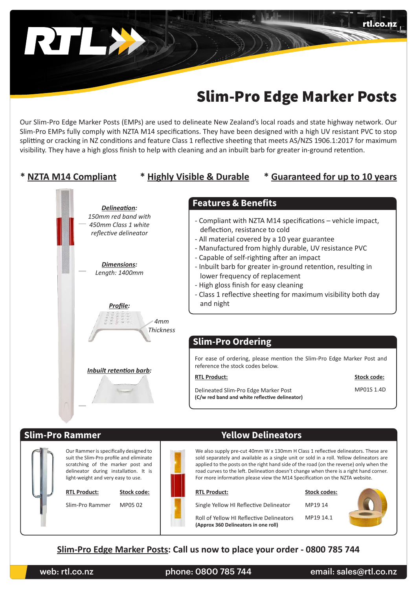# Slim-Pro Edge Marker Posts

rtl.co.nz

Our Slim-Pro Edge Marker Posts (EMPs) are used to delineate New Zealand's local roads and state highway network. Our Slim-Pro EMPs fully comply with NZTA M14 specifications. They have been designed with a high UV resistant PVC to stop splitting or cracking in NZ conditions and feature Class 1 reflective sheeting that meets AS/NZS 1906.1:2017 for maximum visibility. They have a high gloss finish to help with cleaning and an inbuilt barb for greater in-ground retention.



### **Slim-Pro Rammer Yellow Delineators**

RILL



Our Rammer is specifically designed to suit the Slim-Pro profile and eliminate scratching of the marker post and delineator during installation. It is light-weight and very easy to use.

**RTL Product: Stock code: RTL Product: Stock codes:**

Slim-Pro Rammer



We also supply pre-cut 40mm W x 130mm H Class 1 reflective delineators. These are sold separately and available as a single unit or sold in a roll. Yellow delineators are applied to the posts on the right hand side of the road (on the reverse) only when the road curves to the left. Delineation doesn't change when there is a right hand corner. For more information please view the M14 Specification on the NZTA website.

MP05 02 **Single Yellow HI Reflective Delineator** 

MP19 14

Roll of Yellow HI Reflective Delineators MP19 14.1 **(Approx 360 Delineators in one roll)**



**Slim-Pro Edge Marker Posts: Call us now to place your order - 0800 785 744**

web: rtl.co.nz phone: 0800 785 744 email: sales@rtl.co.nz